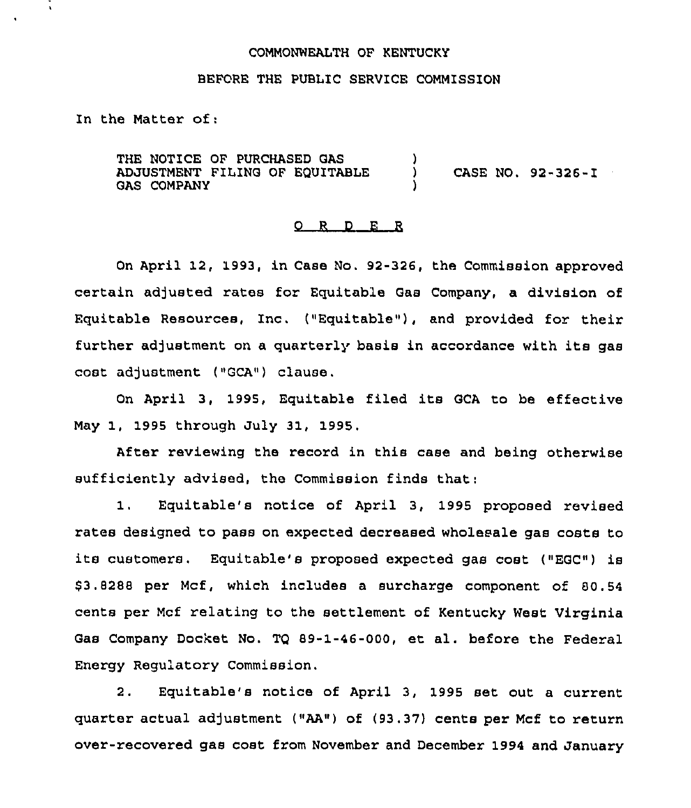## COMMONWEALTH OF KENTUCKY

## BEFORE THE PUBLIC SERVICE COMMISSION

In the Matter of:

 $\tilde{\phantom{a}}$ 

THE NOTICE OF PURCHASED GAS ADJUSTMENT FILING OF EQUITABLE GAS COMPANY ) ) CASE NO. 92-326-I )

## 0 R <sup>D</sup> E R

On April 12, 1993, in Case No. 92-326, the Commission approved certain adjusted rates for Equitable Gas Company, a division of Equitable Resources, Inc. ("Equitable"), and provided for their further adjustment on <sup>a</sup> quarterly basis in accordance with its gas cost adjustment ("GCA") clause.

On April 3, 1995, Equitable filed its GCA to be effective May 1, 1995 through July 31, 1995.

After reviewing the record in this case and being otherwise sufficiently advised, the Commission finds that:

1. Equitable's notice of April 3, 1995 proposed revised rates designed to pass on expected decreased wholesale gas costs to its customers. Equitable's proposed expected gas cost ("EGC") is \$ 3.8288 per Mcf, which includes a surcharge component of 80.54 cents per Mcf relating to the settlement of Kentucky West Virginia Gas Company Docket No. TQ 89-1-46-000, et al. before the Federal Energy Regulatory Commission,

2. Equitable's notice of April 3, 1995 set out a current quarter actual adjustment ("AA") of (93.37) cents per Mcf to return over-recovered gas cost from November and December 1994 and January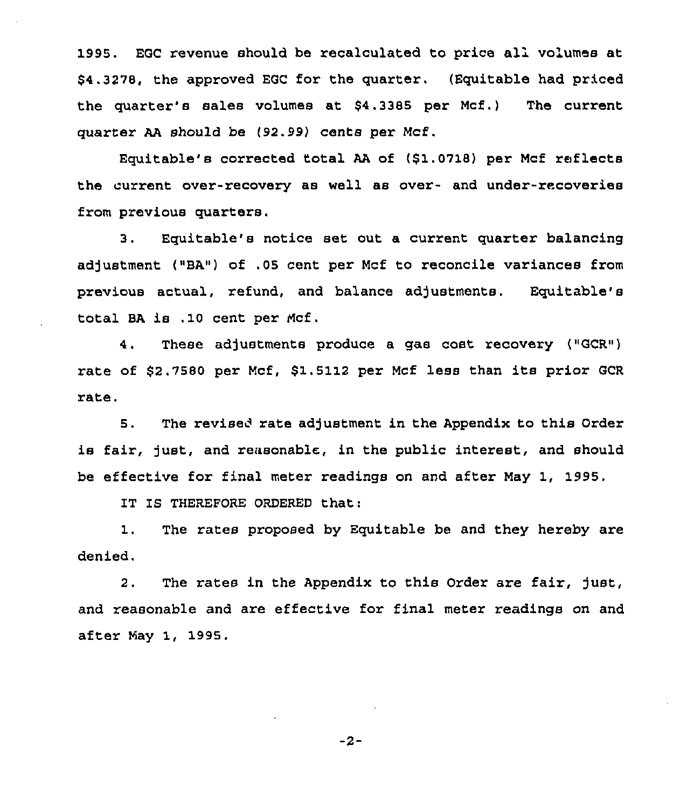1995. EGC revenue should be recalculated to price all volumes at \$4.3278, the approved EGC for the quarter, (Equitable had priced the quarter's sales volumes at \$4.3385 per Mcf.) The current quarter AA should be (92.99) cents per Mcf.

Equitable's corrected total AA of (\$1.0718) per Mcf reflects the current over-recovery as well as over- and under-recoveries from previous quarters.

3. Equitable's notice set out a current quarter balancing adjustment ("BA") of .05 cent per Mcf to reconcile variances from previous actual, refund, and balance adjustments. Equitable's total BA is .10 cent per Mcf.

4. These adjustmente produce a gas cost recovery ("GCR") rate of \$2.7580 per Mcf, \$1.5112 per Mcf lese than its prior GCR rate.

5. The revised rate adjustment in the Appendix to this Order is fair, just, and reasonable, in the public interest, and should be effective for final meter readings on and after May 1, 1995.

IT IS THEREFORE ORDERED that:

1. The rates proposed by Equitable be and they hereby are denied.

2. The rates in the Appendix to this Order are fair, just, and reasonable and are effective for final meter readings on and after May 1, 1995.

 $-2-$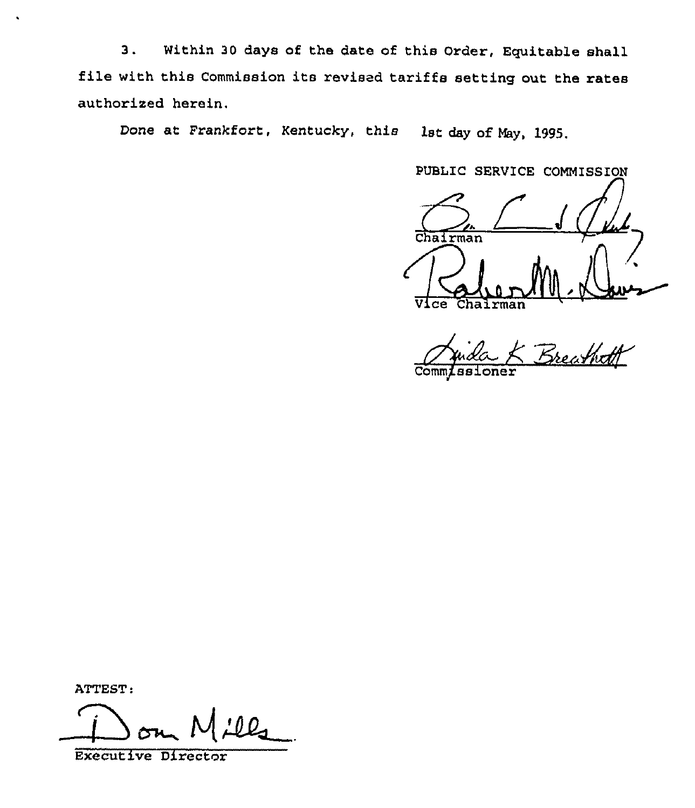3. Within <sup>30</sup> days of the date of this Order, Equitable shall file with this Commission its revised tariffs setting out the rates authorised herein.

Done at Frankfort, Kentucky, this lst day of May, 1995.

PUBLIC SERVICE COMMISSION

Chairman Vice Chairman

Anida K Breathoff

ATTEST:

 $\cdot$ 

Executive Director